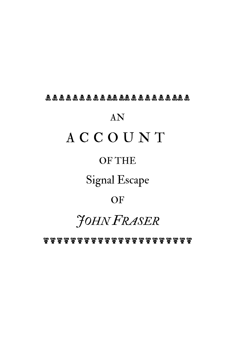#### $\mathbb R$   $\mathbb R$   $\mathbb R$   $\mathbb R$   $\mathbb R$   $\mathbb R$   $\mathbb R$   $\mathbb R$   $\mathbb R$   $\mathbb R$   $\mathbb R$   $\mathbb R$   $\mathbb R$   $\mathbb R$   $\mathbb R$   $\mathbb R$   $\mathbb R$   $\mathbb R$   $\mathbb R$   $\mathbb R$   $\mathbb R$   $\mathbb R$   $\mathbb R$   $\mathbb R$   $\mathbb R$   $\mathbb R$   $\mathbb R$   $\mathbb R$   $\mathbb R$   $\mathbb R$   $\mathbb R$   $\mathbb$

# AN ACCOUNT

#### OF THE

### Signal Escape

#### **OF**

# *JOHN FRASER*

r r r r r r r r r r r r r r r r r r r r r r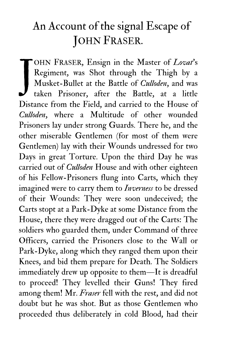## An Account of the signal Escape of JOHN FRASER.

OHN FRASER, Ensign in the Master of *Lovat*'s Regiment, was Shot through the Thigh by a Musket-Bullet at the Battle of *Culloden*, and was taken Prisoner, after the Battle, at a little Distance from the Field, and carried to the House of *Culloden*, where a Multitude of other wounded Prisoners lay under strong Guards. There he, and the other miserable Gentlemen (for most of them were Gentlemen) lay with their Wounds undressed for two Days in great Torture. Upon the third Day he was carried out of *Culloden* House and with other eighteen of his Fellow-Prisoners flung into Carts, which they imagined were to carry them to *Inverness* to be dressed of their Wounds: They were soon undeceived; the Carts stopt at a Park-Dyke at some Distance from the House, there they were dragged out of the Carts: The soldiers who guarded them, under Command of three Officers, carried the Prisoners close to the Wall or Park-Dyke, along which they ranged them upon their Knees, and bid them prepare for Death. The Soldiers immediately drew up opposite to them—It is dreadful to proceed! They levelled their Guns! They fired among them! Mr. *Fraser* fell with the rest, and did not doubt but he was shot. But as those Gentlemen who proceeded thus deliberately in cold Blood, had their J